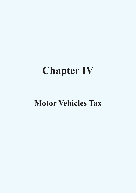# **Chapter IV**

# **Motor Vehicles Tax**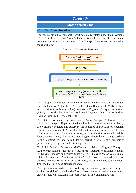

The receipts from the Transport Department are regulated under the provisions of the Central and the State Motor Vehicles Acts and Rules made thereunder and are under the administrative control of the Transport Department as detailed in the chart below:

#### **Chart 4.1: Tax Administration**



The Transport Department collects motor vehicle taxes, fees and fines through the State Transport Authority (STA), Public Vehicle Department (PVD), Kolkata and Registering Authorities (RAs) comprising Regional Transport Authorities (RTAs) at the district level and Additional Regional Transport Authorities (ARTAs) at the Sub-Divisional level.

The State Government had constituted a State Transport Authority (STA) under the Transport Department which has been vested with the authority to co-ordinate, regulate and supervise the activities and policies of Regional Transport Authorities (RTAs) of the State that grant and renew different types of permits in respect of their respective regions. For the state as a whole and for inter-state operations, STA issues different types of permits, viz., stage carriage permit, contract carriage permit, tourist permit, special permit, temporary permit, luxury taxi permit and national permit.

The Public Vehicles Department (PVD) is essentially the Regional Transport Authority for Kolkata. Presently services like (a) Registration of Motor Vehicles, (b) Driving Licenses and related functions, (c) Fitness of Motor Vehicles and related functions, (d) Permits, (e) Motor Vehicle Taxes and related functions, (f) Miscellaneous (other MV related services) are administered to the citizens from the PVD in a decentralised manner.

The registration related activities are being looked after by Regional Transport Authorities (RTAs) located at the District Headquarters as well as some newly created Additional Regional Transport Offices in sub-divisional towns.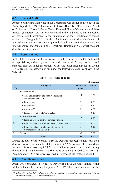# **4.2 Internal Audit**

Absence of internal audit wing in the Department was earlier pointed out in the Audit Report 2010 (No.5 Government of West Bengal) – "Performance Audit on Collection of Motor Vehicles Taxes, Fees and Fines of Government of West Bengal" (Paragraph 4.15). It was concluded in the said Report, that in absence of internal audit, weakness in the functioning of the Department remained undetected (Paragraph 5.1). Further, Audit recommended establishment of internal audit wing for conducting periodical audit and preparing a manual on internal control mechanism in the Department (Paragraph 5.2), which was not done by the Department.

#### **4.3 Results of audit**

In 2018-19, test check of the records of 15 units relating to road tax, additional tax, special tax, audio fee, special fee, video fee, dealer's tax, permit fee and penalties showed under assessment of tax and other irregularities involving  $\bar{\xi}$  9.97 crore in 98 cases, which fall under the following categories shown in the **Table 4.1.**

|                  |                                                                                             |                    | $(3 \nvert n \text{ error})$ |
|------------------|---------------------------------------------------------------------------------------------|--------------------|------------------------------|
| SI.<br>No.       | <b>Categories</b>                                                                           | Number of<br>cases | <b>Amount</b>                |
| 1.               | Non-realisation of<br>• Tax, additional tax and penalty (transport/<br>commercial vehicles) | 14                 | 1.68                         |
|                  | • Permit fees                                                                               | 9                  | 0.51                         |
|                  | • Special fee                                                                               | 10                 | 0.17                         |
|                  | $\bullet$ Audio fee <sup>126</sup>                                                          | 9                  | 0.02                         |
|                  | • Renewal fee of Trade Certificates                                                         | 7                  | 0.13                         |
| $\overline{2}$ . | Short realisation of<br>• Road taxes from contract carriage vehicles                        | 12                 | 0.25                         |
|                  | • Road tax from LMV/ Omni buses (Private Use)                                               | $\overline{4}$     | 0.03                         |
|                  | • Fines for delayed production of vehicles for<br>Certificate of Fitness (C/F)              | 3                  | 0.10                         |
| 3.               | Others                                                                                      | 30                 | 7.08                         |
|                  | <b>Total</b>                                                                                | 98                 | 9.97                         |

#### **Table 4.1: Results of audit**

During the course of the year 2018-19, the Department accepted non-realisation /blocking of revenue and other deficiencies of  $\bar{\tau}$  92.22 crore in 105 cases which includes 35 cases involving  $\bar{\tau}$  7.82 crore which were pointed out in audit during the year 2018-19 and the rest in earlier years pertaining to 2004-05 to 2017-18. An amount of  $\bar{\xi}$  2.14 crore was realised in 70 cases at the instance of audit.

#### **4.4 Compliance issues**

Audit was conducted in 15 (53.57 *per cent*) out of 28 units administering Motor Vehicles Tax during the period 2018-19. The cases mentioned in the

<sup>126</sup> *Rule 218(7) of the WBMV Rules prescribed an audio fee for installation of any audio set with or without loudspeaker in the motor vehicle.*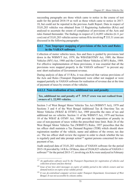succeeding paragraphs are those which came to notice in the course of test audit for the period 2018-19 as well as those which came to notice in 2017- 18, but could not be reported in the previous Audit Report. Data in respect of 35,01,283 vehicles was obtained from 15 Registering Authorities (RAs) and analysed to ascertain the extent of compliance of provisions of the Acts and rules framed thereunder. The findings in respect of 2,14,093 vehicles (6.11 *per cent*) out of 35,01,283 vehicles across various RAs involving  $\bar{\tau}$  333.31 crore are discussed in the following paragraphs:

# **4.4.1 Non/ Improper mapping of provisions of the Acts and Rules in the VAHAN software**

Collection of motor vehicles taxes, fees and fines is guided by provisions laid down in the WBMVT Act, 1979, the WBAT&OTMV Act, 1989, the Motor Vehicles (MV) Act, 1988 and the Central Motor Vehicles (CMV) Rules, 1989. For effective implementation of these provisions, it was essential that all the provisions were mapped properly in the VAHAN software<sup>127</sup> to prevent any non/ short realisation of Government revenue.

During analysis of data of 15 RAs, it was observed that various provisions of the Acts and Rules (Transport Department) were either not mapped or were mapped partially in VAHAN software for realisation of revenue due at the time of payment of taxes by owners of the vehicles.

# **4.4.1.1 Non-realisation of tax, additional tax and penalty**

Tax, additional tax and penalty of  $\bar{\tau}$  319.27 crore was not realised from **owners of 1, 22,995 vehicles.**

Section 3 of West Bengal Motor Vehicles Tax Act (WBMVT Act), 1979 and Sections 3 and 4 of the West Bengal Additional Tax & One-time Tax on Motor Vehicles (WBAT & OTMV) Act, 1989 prescribe the rates of tax and additional tax on vehicles. Section 11 of the WBMVT Act, 1979 and Section 10 of the WBAT & OTMV Act, 1989 provide for imposition of penalty in case of non-payment of taxes within the prescribed time limit. Rule 26 of the West Bengal Motor Vehicles Tax (WBMVT) Rules, 1957 prescribes that the tax officer shall maintain a Tax Demand Register (TDR) which should show registration number of the vehicle, name and address of the owner, tax due *etc*. The tax officer shall review the register in order to check whether the tax is regularly paid and take prompt action<sup>128</sup> against persons concerned for nonpayment of tax.

Audit analysed data of 35,01,283 vehicles of VAHAN software for the period 2015-18 provided by 14 RAs. Of these, data of 29,04,825 vehicles of VAHAN-1 software<sup>129</sup> for the period 2015-17, involving six RAs were analysed in February

<sup>127</sup> *An application software used by the Transport Department for registration of vehicles and collection of taxes and fees thereof.*

<sup>128</sup> *Issue of tax/ fees alert messages on expiry of validity period to the vehicle owners and tax demand notices on expiry of tax validity period.*

<sup>129</sup> *It was de-centralised computer services under Transport Department, Government of West Bengal. It was not accessible by citizens online.*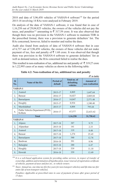2018 and data of 5,96,458 vehicles of VAHAN-4 software130 for the period 2015-18 involving 14 RAs were analysed in February 2019.

On analysis of the data of VAHAN-1 software, it was found that in case of 1,16,258 out of 29,04,825 vehicles, the owners of the vehicles did not pay the taxes, and penalties<sup>131</sup> amounting to  $\bar{\tau}$  317.59 crore. It was also observed that though there was no provision in the VAHAN-1 software to maintain TDR in the prescribed format, there was a provision to generate defaulters' list. The RAs concerned, however, failed to monitor and realise the dues.

Audit also found from analysis of data of VAHAN-4 software that in case of 6,737 out of 5,96,458 vehicles, the owners of these vehicles did not make payment of tax, fees and penalty of  $\bar{\tau}$  1.68 crore. It was observed that though there was provision in the VAHAN-4 software to generate defaulters' list as well as demand notices, the RAs concerned failed to realise the dues.

This resulted in non-realisation of tax, additional tax and penalty of  $\bar{\tau}$  319.27 crore in 1,22,995 cases of as many vehicles as shown in the following table:

|                |                                              |                             |                                               | $($ \bar{\tau} in lakh)             |
|----------------|----------------------------------------------|-----------------------------|-----------------------------------------------|-------------------------------------|
| SI<br>No.      | Name of the RA                               | <b>Period of</b><br>default | <b>Total no. of</b><br>defaulting<br>vehicles | <b>Amount of</b><br>non-realisation |
|                | <b>VAHAN-1</b>                               |                             |                                               |                                     |
| 1 <sub>1</sub> | Asansol                                      | $2015 - 17$                 | 4,869                                         | 1,647.64                            |
| 2.             | <b>Barasat</b>                               | 2016-17                     | 16,027                                        | 2,869.84                            |
| 3.             | Barrackpore                                  | 2016-17                     | 14,847                                        | 2,571.48                            |
| 4.             | Hooghly                                      | $2015 - 17$                 | 8,934                                         | 1,240.40                            |
| 5.             | Murshidabad                                  | $2015 - 17$                 | 4,004                                         | 795.64                              |
| 6.             | Public Vehicles Department (PVD),<br>Kolkata | 2016-17                     | 67,577                                        | 22,633.42                           |
| <b>Total</b>   |                                              |                             | 1,16,258                                      | 31,758.42                           |
|                |                                              |                             |                                               |                                     |
|                | <b>VAHAN-4</b>                               |                             |                                               |                                     |
| 1.             | Alipore                                      | $2017 - 18$                 | 387                                           | 9.75                                |
| 2.             | Alipurduar                                   | $2015 - 18$                 | 141                                           | 2.33                                |
| 3.             | Asansol                                      | $2017 - 18$                 | 119                                           | 8.48                                |
| 4.             | <b>Barasat</b>                               | $2017 - 18$                 | 1,274                                         | 25.45                               |
| 5.             | Barrackpore                                  | 2017-18                     | 540                                           | 12.76                               |
| 6.             | Burdwan                                      | 2016-18                     | 391                                           | 8.96                                |
| 7.             | Balurghat                                    | $2015 - 18$                 | 280                                           | 6.47                                |
| 8.             | Hooghly                                      | $2017 - 18$                 | 539                                           | 11.10                               |

**Table 4.2: Non-realisation of tax, additional tax and penalty**

<sup>130</sup> It is a web-based application system for providing online services, in respect of transfer of *ownership, addition and termination of hypothecation, issue/ renewal of registration certificate of vehicles, payment of taxes and fees etc., to vehicle owners.*

<sup>131</sup> *Taxes: Annual tax, one-time tax (for five years for non-transport vehicles) and life-time tax (for entire life of non-transport vehicles).*

*Penalties:-Applicable at prescribed rates in case of payment of taxes after grace period of 15 days.*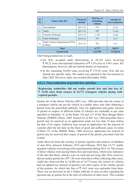| <b>SI</b><br>No.   | Name of the RA                               | <b>Period of</b><br>default | <b>Total no. of</b><br>defaulting<br>vehicles | <b>Amount of</b><br>non-realisation |  |
|--------------------|----------------------------------------------|-----------------------------|-----------------------------------------------|-------------------------------------|--|
| 10.                | Murshidabad                                  | $2017 - 18$                 | 576                                           | 14.19                               |  |
| 11.                | Nadia                                        | $2017 - 18$                 | 499                                           | 11.64                               |  |
| 12.                | Paschim Medinipur                            | $2017 - 18$                 | 1,164                                         | 33.88                               |  |
| 13.                | Purba Medinipur                              | 2016-18                     | 185                                           | 6.51                                |  |
| 14.                | Public Vehicles Department (PVD),<br>Kolkata | $2017 - 18$                 | 283                                           | 3.21                                |  |
| <b>Total</b>       |                                              |                             | 6,737                                         | 168.22                              |  |
| <b>Grand</b> total |                                              |                             | 1,22,995                                      | 31,926.64                           |  |

After being pointed out in Audit,

- Six RAs accepted audit observations in 28,145 cases involving  $\bar{\xi}$  44.22 crore and reported realisation of  $\bar{\xi}$  5.29 crore in 5,481 cases. RA Barrackpore, however, did not furnish details of realisation.
- In the remaining 94,850 cases involving  $\bar{\xi}$  275.05 crore, RAs did not furnish any specific reply. The matter was reported to the Government in May 2020. However, reply was awaited (December 2020).

# **4.4.1.2 Non-realisation of permit fees and fines**

**Registering Authorities did not realise permit fees and late fees of**  ` **12.58 crore from owners of 14,771 transport vehicles plying with expired permits.**

Section 66 of the Motor Vehicles (MV) Act, 1988 provides that the owner of a transport vehicle can use his vehicle in a public place only after obtaining a permit from the prescribed authority. Fees for application and grant/ renewal of permit in respect of different kinds of vehicles are realisable as per rates specified in Schedule-'A' of the Rules 126 and 127 of the West Bengal Motor Vehicles (WBMV) Rules, 1989. Section 81 of MV Act, 1988 prescribes that a permit may be renewed on an application made not less than 15 days before the date of its expiry. Authority may accept an application for the renewal of a permit after the last date on the basis of good and sufficient cause. In terms of Rule 151 of the WBMV Rules, 1989, however, application for renewal of permit may be received after expiry of period of the permit, provided a late fee is paid.

Audit observed from the scrutiny of permit registers and analysis of database of nine RAs, between February 2018 and February 2019 that 14,771 public transport vehicles were plying with expired permits during 2015-18. The owners of those vehicles were paying fitness fees and road taxes, which were indicative of the fact that those vehicles were on road and not lying idle. RAs, however, did not realise permit fee of  $\bar{\tau}$  7.96 crore from them while collecting other taxes. Audit also observed that in 14,468 out of 14,771cases, the owners of vehicles had not applied for renewal of permits even after expiry of the validity period of the permits, for which late fees of  $\bar{\tau}$  4.62 crore was realisable from them. There was no provision in the e-Vahan software to raise an alert regarding the payment due as permit fee at the time of collection of other taxes. This resulted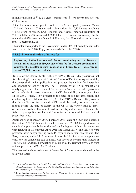in non-realisation of  $\bar{\tau}$  12.58 crore - permit fees ( $\bar{\tau}$  7.96 crore) and late fees  $($ ₹ 4.62 crore).

After the cases were pointed out, six RAs accepted (between March 2018 and January 2020) the audit observations in 10,132 cases involving  $\bar{\xi}$  8.67 crore, of which, RAs, Hooghly and Asansol reported realisation of  $\bar{\tau}$  11.19 lakh in 229 cases and  $\bar{\tau}$  9.86 lakh in 116 cases, respectively. In the remaining 4,639 cases involving  $\bar{\tau}$  3.91 crore, four RAs did not furnish any reply (December 2020).

The matter was reported to the Government in May 2020 followed by a reminder issued in October 2020. Reply was awaited (December 2020).

**4.4.1.3 Short realisation of fitness fee** 

**Registering Authorities realised fee for conducting test of fitness at normal rates instead of 150** *per cent* **of the fee for delayed production of vehicles. This resulted in short realisation of fitness fee of**  $\bar{\tau}$  **one crore in case of 75,583 transport vehicles.**

Rule 62 of the Central Motor Vehicles (CMV) Rules, 1989 prescribes that for obtaining/ renewing certificate of fitness (CF) of a transport vehicle, the owner shall make application and produce the vehicle for inspection and conducting test of fitness. The CF issued by an RA in respect of a newly registered vehicle is valid for two years from the date of registration of the vehicle. In case of renewal of CF, the validity is one year. Rule 81 of CMV Rules, 1989 prescribes the rates of fee for application and conducting test of fitness. Rule 57(6) of the WBMV Rules, 1989 provides that the application for renewal of CF should be made, not less than one month before the date of expiry of the CF. If the owner fails to apply or does not produce the vehicle within the stipulated time132, he shall be liable to pay application fee and fitness fee at the rate of 150 *per cent* of prescribed fees.

Audit analysed (February 2018/ February 2019) data of 8 RAs and observed that out of 2,28,936 transport vehicles, owners of 75,583 transport vehicles submitted application for inspection and conducting test of fitness in connection with renewal of CF between April 2015 and March 2017. The vehicles were produced after delays ranging from 15 days to more than two months. The RAs, however, realised 150 *per cent* of prescribed fee for delay in application only. Fee for conducting test of fitness was levied at normal rates instead of 150 *per cent* for delayed production of vehicles, as the relevant provisions were not mapped in the e-VAHAN133 software.

This resulted in short realisation of fitness fee of  $\bar{\tau}$  one crore as detailed in the following table:

<sup>132</sup> *Date and time mentioned in the CF. If no date and time for next inspection is endorsed on the CF, and application for the renewal of a CF shall be made not less than one month before the date of expiry of the certificate*.

<sup>133</sup> *An application software used by the Transport Department for registration of vehicles and collection of taxes and fees thereof.*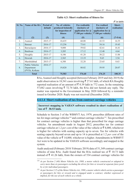$\mathcal{F}$  *in lakh* $)$ 

| <b>Sl. No.</b> | Name of the RA                                         | <b>Period of</b><br>default | <b>No. of vehicles</b><br>produced belatedly<br>for inspection of<br>fitness | Fee realisable<br>(inclusive of<br>application fee $\omega$<br>₹ 100 per vehicle) | <b>Fee realised</b><br>(inclusive of<br>application fee $\mathcal{D}$<br>₹ 100 per vehicle) | Short-<br>realisation |
|----------------|--------------------------------------------------------|-----------------------------|------------------------------------------------------------------------------|-----------------------------------------------------------------------------------|---------------------------------------------------------------------------------------------|-----------------------|
| (1)            | (2)                                                    | (3)                         | (4)                                                                          | (5)                                                                               | (6)                                                                                         | $(7=5-6)$             |
| 1.             | Asansol                                                | 2015-17                     | 10,435                                                                       | 60.08                                                                             | 43.53                                                                                       | 16.55                 |
| 2.             | <b>Barasat</b>                                         | 2016-17                     | 15,256                                                                       | 73.61                                                                             | 54.16                                                                                       | 19.45                 |
| 3 <sub>1</sub> | Barrackpore                                            | 2016-17                     | 9,808                                                                        | 59.02                                                                             | 42.61                                                                                       | 16.41                 |
| 4.             | Burdwan                                                | 2016-17                     | 3,205                                                                        | 17.12                                                                             | 12.48                                                                                       | 4.64                  |
| 5.             | Hooghly                                                | 2015-17                     | 8,106                                                                        | 41.28                                                                             | 30.22                                                                                       | 11.06                 |
| 6.             | Howrah                                                 | 2016-17                     | 2,565                                                                        | 13.19                                                                             | 9.65                                                                                        | 3.54                  |
| 7.             | Murshidabad                                            | 2015-17                     | 6,388                                                                        | 32.28                                                                             | 23.65                                                                                       | 8.63                  |
| 8.             | <b>Public Vehicles</b><br>Department<br>(PVD), Kolkata | 2016-17                     | 19,820                                                                       | 80.02                                                                             | 59.95                                                                                       | 20.07                 |
| <b>Total</b>   |                                                        |                             | 75,583                                                                       | 376.60                                                                            | 276.25                                                                                      | 100.35                |

**Table 4.3: Short realisation of fitness fee**

RAs, Asansol and Hooghly accepted (between February 2019 and July 2019) the audit observation in 18,541 cases involving  $\bar{\tau}$  27.61 lakh, of which RA Hooghly reported realisation of an amount of  $\bar{\tau}$  0.39 lakh in 772 cases. In the remaining 57,042 cases involving  $\bar{\tau}$  72.74 lakh, the RAs did not furnish any reply. The matter was reported to the Government in May 2020 followed by a reminder issued in October 2020. Reply was not received (December 2020).

#### **4.4.1.4 Short realisation of tax from contract carriage vehicles**

**Incorrect mapping in VAHAN software resulted in short realisation of**  tax of  $\bar{z}$  30.53 lakh.

Schedule to Section 3 of the WBMVT Act, 1979, prescribes different rates of tax for stage carriage vehicles<sup>134</sup> and contract carriage vehicles<sup>135</sup>. Tax prescribed for contract carriage vehicles is higher than that prescribed for stage carriage vehicles. An amendment made in August 2012, prescribes tax for contract carriage vehicles at 1.2 *per cent* of the value of the vehicle or  $\bar{\mathfrak{c}}$  8,000, whichever is higher for vehicles with seating capacity up to seven. Tax for vehicles with seating capacity beyond seven and up to 14 is prescribed at 1.2 *per cent* of the value of the vehicle or  $\bar{\mathcal{F}}$  14,000, whichever is higher. Amendments in WBMVT Act were to be updated in the VAHAN software accordingly and mapped in the system.

Audit analysed (February 2018/ February 2019) data of 51,349 contract carriage vehicles of nine RAs. Audit found that the RAs realised tax of  $\bar{z}$  10.73 lakh instead of  $\bar{\tau}$  41.26 lakh, from the owners of 534 contract carriage vehicles for

<sup>134</sup> *As per Section 2 (40) Motor Vehicles Act, 1988, a motor vehicle constructed or adapted to carry more than six passengers excluding the driver for hire or reward at separate fares paid by or for individual passengers.*

<sup>135</sup> *As per Section 2 (7) of the Motor Vehicles Act, 1988, a motor vehicle which carries a passenger or passengers for hire or reward and is engaged under a contract, whether expressed or implied, for the use of such vehicle as a whole.*